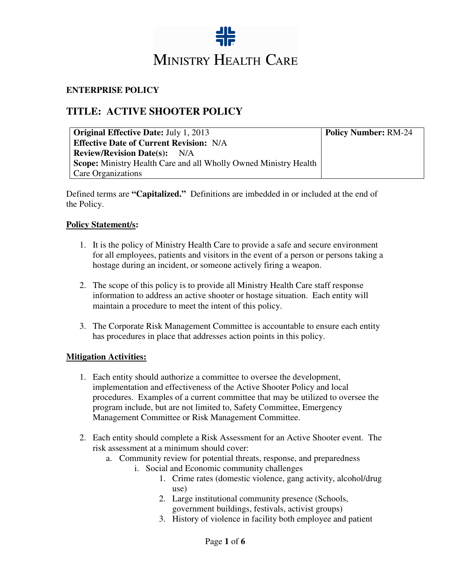

### **ENTERPRISE POLICY**

# **TITLE: ACTIVE SHOOTER POLICY**

| <b>Original Effective Date: July 1, 2013</b>                            | <b>Policy Number: RM-24</b> |
|-------------------------------------------------------------------------|-----------------------------|
| <b>Effective Date of Current Revision: N/A</b>                          |                             |
| <b>Review/Revision Date(s):</b> N/A                                     |                             |
| <b>Scope:</b> Ministry Health Care and all Wholly Owned Ministry Health |                             |
| <b>Care Organizations</b>                                               |                             |

Defined terms are **"Capitalized."** Definitions are imbedded in or included at the end of the Policy.

#### **Policy Statement/s:**

- 1. It is the policy of Ministry Health Care to provide a safe and secure environment for all employees, patients and visitors in the event of a person or persons taking a hostage during an incident, or someone actively firing a weapon.
- 2. The scope of this policy is to provide all Ministry Health Care staff response information to address an active shooter or hostage situation. Each entity will maintain a procedure to meet the intent of this policy.
- 3. The Corporate Risk Management Committee is accountable to ensure each entity has procedures in place that addresses action points in this policy.

#### **Mitigation Activities:**

- 1. Each entity should authorize a committee to oversee the development, implementation and effectiveness of the Active Shooter Policy and local procedures. Examples of a current committee that may be utilized to oversee the program include, but are not limited to, Safety Committee, Emergency Management Committee or Risk Management Committee.
- 2. Each entity should complete a Risk Assessment for an Active Shooter event. The risk assessment at a minimum should cover:
	- a. Community review for potential threats, response, and preparedness
		- i. Social and Economic community challenges
			- 1. Crime rates (domestic violence, gang activity, alcohol/drug use)
			- 2. Large institutional community presence (Schools, government buildings, festivals, activist groups)
			- 3. History of violence in facility both employee and patient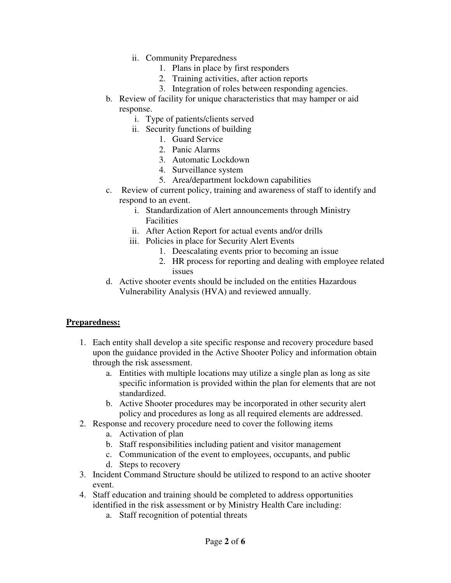- ii. Community Preparedness
	- 1. Plans in place by first responders
	- 2. Training activities, after action reports
	- 3. Integration of roles between responding agencies.
- b. Review of facility for unique characteristics that may hamper or aid response.
	- i. Type of patients/clients served
	- ii. Security functions of building
		- 1. Guard Service
		- 2. Panic Alarms
		- 3. Automatic Lockdown
		- 4. Surveillance system
		- 5. Area/department lockdown capabilities
- c. Review of current policy, training and awareness of staff to identify and respond to an event.
	- i. Standardization of Alert announcements through Ministry Facilities
	- ii. After Action Report for actual events and/or drills
	- iii. Policies in place for Security Alert Events
		- 1. Deescalating events prior to becoming an issue
		- 2. HR process for reporting and dealing with employee related issues
- d. Active shooter events should be included on the entities Hazardous Vulnerability Analysis (HVA) and reviewed annually.

#### **Preparedness:**

- 1. Each entity shall develop a site specific response and recovery procedure based upon the guidance provided in the Active Shooter Policy and information obtain through the risk assessment.
	- a. Entities with multiple locations may utilize a single plan as long as site specific information is provided within the plan for elements that are not standardized.
	- b. Active Shooter procedures may be incorporated in other security alert policy and procedures as long as all required elements are addressed.
- 2. Response and recovery procedure need to cover the following items
	- a. Activation of plan
	- b. Staff responsibilities including patient and visitor management
	- c. Communication of the event to employees, occupants, and public
	- d. Steps to recovery
- 3. Incident Command Structure should be utilized to respond to an active shooter event.
- 4. Staff education and training should be completed to address opportunities identified in the risk assessment or by Ministry Health Care including:
	- a. Staff recognition of potential threats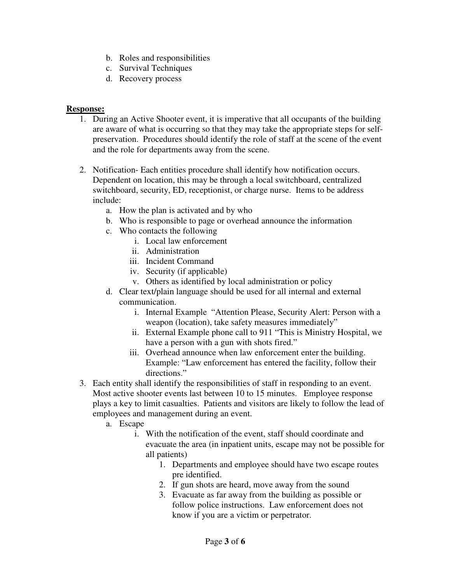- b. Roles and responsibilities
- c. Survival Techniques
- d. Recovery process

### **Response:**

- 1. During an Active Shooter event, it is imperative that all occupants of the building are aware of what is occurring so that they may take the appropriate steps for selfpreservation. Procedures should identify the role of staff at the scene of the event and the role for departments away from the scene.
- 2. Notification- Each entities procedure shall identify how notification occurs. Dependent on location, this may be through a local switchboard, centralized switchboard, security, ED, receptionist, or charge nurse. Items to be address include:
	- a. How the plan is activated and by who
	- b. Who is responsible to page or overhead announce the information
	- c. Who contacts the following
		- i. Local law enforcement
			- ii. Administration
		- iii. Incident Command
		- iv. Security (if applicable)
		- v. Others as identified by local administration or policy
	- d. Clear text/plain language should be used for all internal and external communication.
		- i. Internal Example "Attention Please, Security Alert: Person with a weapon (location), take safety measures immediately"
		- ii. External Example phone call to 911 "This is Ministry Hospital, we have a person with a gun with shots fired."
		- iii. Overhead announce when law enforcement enter the building. Example: "Law enforcement has entered the facility, follow their directions."
- 3. Each entity shall identify the responsibilities of staff in responding to an event. Most active shooter events last between 10 to 15 minutes. Employee response plays a key to limit casualties. Patients and visitors are likely to follow the lead of employees and management during an event.
	- a. Escape
		- i. With the notification of the event, staff should coordinate and evacuate the area (in inpatient units, escape may not be possible for all patients)
			- 1. Departments and employee should have two escape routes pre identified.
			- 2. If gun shots are heard, move away from the sound
			- 3. Evacuate as far away from the building as possible or follow police instructions. Law enforcement does not know if you are a victim or perpetrator.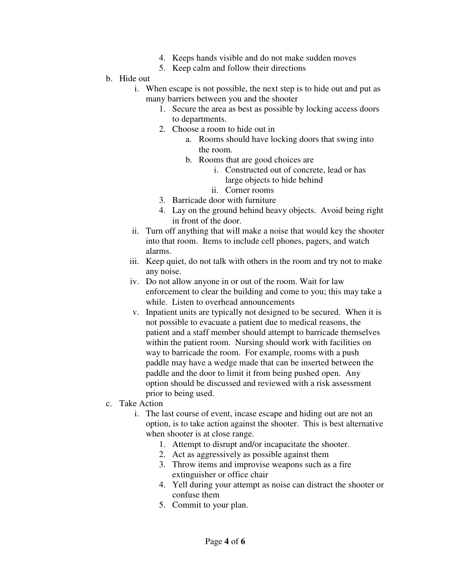- 4. Keeps hands visible and do not make sudden moves
- 5. Keep calm and follow their directions

### b. Hide out

- i. When escape is not possible, the next step is to hide out and put as many barriers between you and the shooter
	- 1. Secure the area as best as possible by locking access doors to departments.
	- 2. Choose a room to hide out in
		- a. Rooms should have locking doors that swing into the room.
		- b. Rooms that are good choices are
			- i. Constructed out of concrete, lead or has large objects to hide behind
			- ii. Corner rooms
	- 3. Barricade door with furniture
	- 4. Lay on the ground behind heavy objects. Avoid being right in front of the door.
- ii. Turn off anything that will make a noise that would key the shooter into that room. Items to include cell phones, pagers, and watch alarms.
- iii. Keep quiet, do not talk with others in the room and try not to make any noise.
- iv. Do not allow anyone in or out of the room. Wait for law enforcement to clear the building and come to you; this may take a while. Listen to overhead announcements
- v. Inpatient units are typically not designed to be secured. When it is not possible to evacuate a patient due to medical reasons, the patient and a staff member should attempt to barricade themselves within the patient room. Nursing should work with facilities on way to barricade the room. For example, rooms with a push paddle may have a wedge made that can be inserted between the paddle and the door to limit it from being pushed open. Any option should be discussed and reviewed with a risk assessment prior to being used.
- c. Take Action
	- i. The last course of event, incase escape and hiding out are not an option, is to take action against the shooter. This is best alternative when shooter is at close range.
		- 1. Attempt to disrupt and/or incapacitate the shooter.
		- 2. Act as aggressively as possible against them
		- 3. Throw items and improvise weapons such as a fire extinguisher or office chair
		- 4. Yell during your attempt as noise can distract the shooter or confuse them
		- 5. Commit to your plan.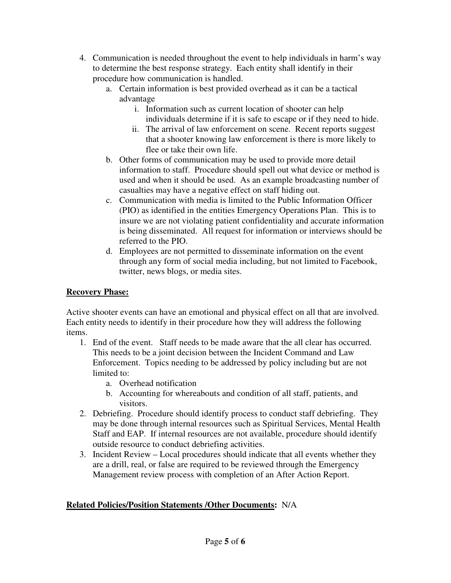- 4. Communication is needed throughout the event to help individuals in harm's way to determine the best response strategy. Each entity shall identify in their procedure how communication is handled.
	- a. Certain information is best provided overhead as it can be a tactical advantage
		- i. Information such as current location of shooter can help individuals determine if it is safe to escape or if they need to hide.
		- ii. The arrival of law enforcement on scene. Recent reports suggest that a shooter knowing law enforcement is there is more likely to flee or take their own life.
	- b. Other forms of communication may be used to provide more detail information to staff. Procedure should spell out what device or method is used and when it should be used. As an example broadcasting number of casualties may have a negative effect on staff hiding out.
	- c. Communication with media is limited to the Public Information Officer (PIO) as identified in the entities Emergency Operations Plan. This is to insure we are not violating patient confidentiality and accurate information is being disseminated. All request for information or interviews should be referred to the PIO.
	- d. Employees are not permitted to disseminate information on the event through any form of social media including, but not limited to Facebook, twitter, news blogs, or media sites.

## **Recovery Phase:**

Active shooter events can have an emotional and physical effect on all that are involved. Each entity needs to identify in their procedure how they will address the following items.

- 1. End of the event. Staff needs to be made aware that the all clear has occurred. This needs to be a joint decision between the Incident Command and Law Enforcement. Topics needing to be addressed by policy including but are not limited to:
	- a. Overhead notification
	- b. Accounting for whereabouts and condition of all staff, patients, and visitors.
- 2. Debriefing. Procedure should identify process to conduct staff debriefing. They may be done through internal resources such as Spiritual Services, Mental Health Staff and EAP. If internal resources are not available, procedure should identify outside resource to conduct debriefing activities.
- 3. Incident Review Local procedures should indicate that all events whether they are a drill, real, or false are required to be reviewed through the Emergency Management review process with completion of an After Action Report.

# **Related Policies/Position Statements /Other Documents:** N/A